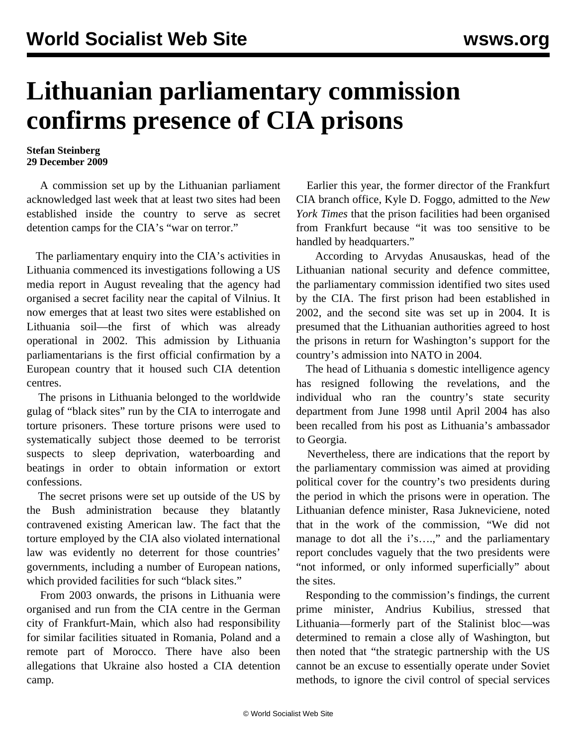## **Lithuanian parliamentary commission confirms presence of CIA prisons**

## **Stefan Steinberg 29 December 2009**

 A commission set up by the Lithuanian parliament acknowledged last week that at least two sites had been established inside the country to serve as secret detention camps for the CIA's "war on terror."

 The parliamentary enquiry into the CIA's activities in Lithuania commenced its investigations following a US media report in August revealing that the agency had organised a secret facility near the capital of Vilnius. It now emerges that at least two sites were established on Lithuania soil—the first of which was already operational in 2002. This admission by Lithuania parliamentarians is the first official confirmation by a European country that it housed such CIA detention centres.

 The prisons in Lithuania belonged to the worldwide gulag of "black sites" run by the CIA to interrogate and torture prisoners. These torture prisons were used to systematically subject those deemed to be terrorist suspects to sleep deprivation, waterboarding and beatings in order to obtain information or extort confessions.

 The secret prisons were set up outside of the US by the Bush administration because they blatantly contravened existing American law. The fact that the torture employed by the CIA also violated international law was evidently no deterrent for those countries' governments, including a number of European nations, which provided facilities for such "black sites."

 From 2003 onwards, the prisons in Lithuania were organised and run from the CIA centre in the German city of Frankfurt-Main, which also had responsibility for similar facilities situated in Romania, Poland and a remote part of Morocco. There have also been allegations that Ukraine also hosted a CIA detention camp.

 Earlier this year, the former director of the Frankfurt CIA branch office, Kyle D. Foggo, admitted to the *New York Times* that the prison facilities had been organised from Frankfurt because "it was too sensitive to be handled by headquarters."

 According to Arvydas Anusauskas, head of the Lithuanian national security and defence committee, the parliamentary commission identified two sites used by the CIA. The first prison had been established in 2002, and the second site was set up in 2004. It is presumed that the Lithuanian authorities agreed to host the prisons in return for Washington's support for the country's admission into NATO in 2004.

 The head of Lithuania s domestic intelligence agency has resigned following the revelations, and the individual who ran the country's state security department from June 1998 until April 2004 has also been recalled from his post as Lithuania's ambassador to Georgia.

 Nevertheless, there are indications that the report by the parliamentary commission was aimed at providing political cover for the country's two presidents during the period in which the prisons were in operation. The Lithuanian defence minister, Rasa Jukneviciene, noted that in the work of the commission, "We did not manage to dot all the i's....," and the parliamentary report concludes vaguely that the two presidents were "not informed, or only informed superficially" about the sites.

 Responding to the commission's findings, the current prime minister, Andrius Kubilius, stressed that Lithuania—formerly part of the Stalinist bloc—was determined to remain a close ally of Washington, but then noted that "the strategic partnership with the US cannot be an excuse to essentially operate under Soviet methods, to ignore the civil control of special services